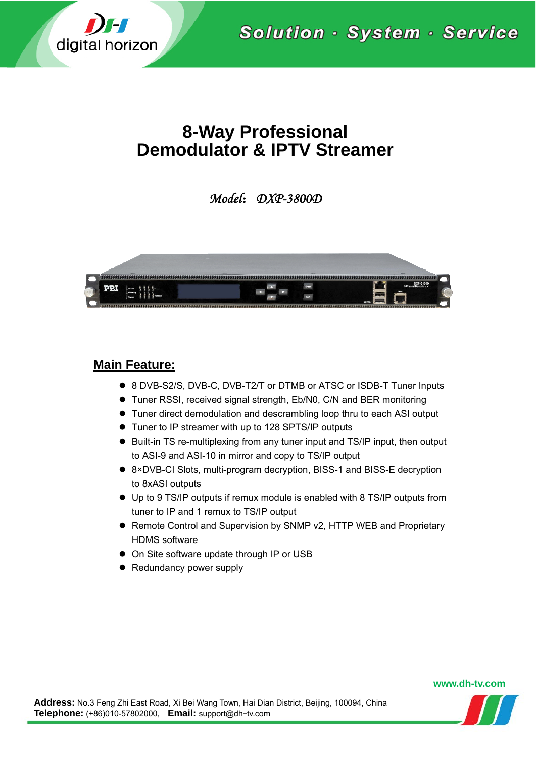

Solution · System · Service

# **8-Way Professional Demodulator & IPTV Streamer**

*Model*:*DXP-3800D* 



## **Main Feature:**

- 8 DVB-S2/S, DVB-C, DVB-T2/T or DTMB or ATSC or ISDB-T Tuner Inputs
- Tuner RSSI, received signal strength, Eb/N0, C/N and BER monitoring
- Tuner direct demodulation and descrambling loop thru to each ASI output
- Tuner to IP streamer with up to 128 SPTS/IP outputs
- Built-in TS re-multiplexing from any tuner input and TS/IP input, then output to ASI-9 and ASI-10 in mirror and copy to TS/IP output
- 8×DVB-CI Slots, multi-program decryption, BISS-1 and BISS-E decryption to 8xASI outputs
- Up to 9 TS/IP outputs if remux module is enabled with 8 TS/IP outputs from tuner to IP and 1 remux to TS/IP output
- Remote Control and Supervision by SNMP v2, HTTP WEB and Proprietary HDMS software
- On Site software update through IP or USB
- Redundancy power supply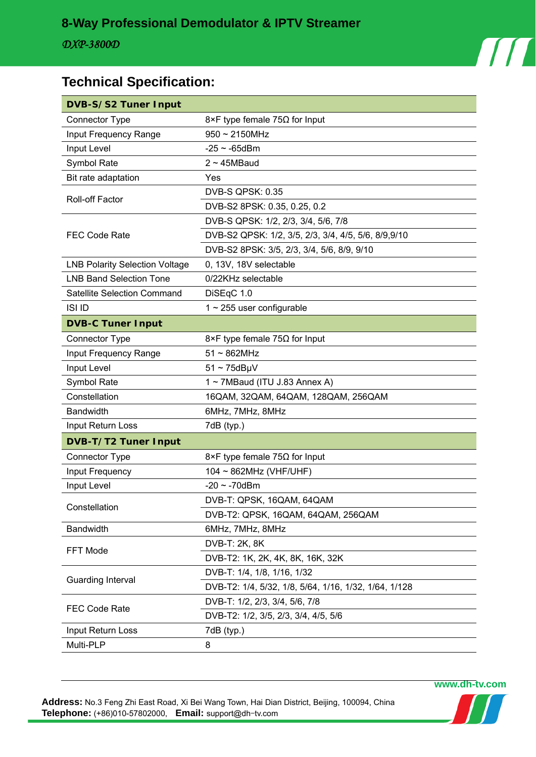

# **Technical Specification:**

| <b>DVB-S/S2 Tuner Input</b>           |                                                       |  |  |  |  |
|---------------------------------------|-------------------------------------------------------|--|--|--|--|
| <b>Connector Type</b>                 | 8×F type female $75\Omega$ for Input                  |  |  |  |  |
| Input Frequency Range                 | $950 \sim 2150$ MHz                                   |  |  |  |  |
| Input Level                           | $-25 \sim -65$ dBm                                    |  |  |  |  |
| Symbol Rate                           | $2 \sim 45MB$ aud                                     |  |  |  |  |
| Bit rate adaptation                   | Yes                                                   |  |  |  |  |
| <b>Roll-off Factor</b>                | <b>DVB-S QPSK: 0.35</b>                               |  |  |  |  |
|                                       | DVB-S2 8PSK: 0.35, 0.25, 0.2                          |  |  |  |  |
|                                       | DVB-S QPSK: 1/2, 2/3, 3/4, 5/6, 7/8                   |  |  |  |  |
| <b>FEC Code Rate</b>                  | DVB-S2 QPSK: 1/2, 3/5, 2/3, 3/4, 4/5, 5/6, 8/9,9/10   |  |  |  |  |
|                                       | DVB-S2 8PSK: 3/5, 2/3, 3/4, 5/6, 8/9, 9/10            |  |  |  |  |
| <b>LNB Polarity Selection Voltage</b> | 0, 13V, 18V selectable                                |  |  |  |  |
| <b>LNB Band Selection Tone</b>        | 0/22KHz selectable                                    |  |  |  |  |
| <b>Satellite Selection Command</b>    | DiSEqC 1.0                                            |  |  |  |  |
| <b>ISI ID</b>                         | $1 \sim 255$ user configurable                        |  |  |  |  |
| <b>DVB-C Tuner Input</b>              |                                                       |  |  |  |  |
| <b>Connector Type</b>                 | 8×F type female 75 $\Omega$ for Input                 |  |  |  |  |
| Input Frequency Range                 | $51 \sim 862$ MHz                                     |  |  |  |  |
| Input Level                           | $51 \sim 75$ dBµV                                     |  |  |  |  |
| Symbol Rate                           | 1~7MBaud (ITU J.83 Annex A)                           |  |  |  |  |
| Constellation                         | 16QAM, 32QAM, 64QAM, 128QAM, 256QAM                   |  |  |  |  |
| Bandwidth                             | 6MHz, 7MHz, 8MHz                                      |  |  |  |  |
| Input Return Loss                     | 7dB (typ.)                                            |  |  |  |  |
| DVB-T/T2 Tuner Input                  |                                                       |  |  |  |  |
| <b>Connector Type</b>                 | 8×F type female 75 $\Omega$ for Input                 |  |  |  |  |
| Input Frequency                       | 104 ~ 862MHz (VHF/UHF)                                |  |  |  |  |
| Input Level                           | $-20 \sim -70$ dBm                                    |  |  |  |  |
|                                       | DVB-T: QPSK, 16QAM, 64QAM                             |  |  |  |  |
| Constellation                         | DVB-T2: QPSK, 16QAM, 64QAM, 256QAM                    |  |  |  |  |
| Bandwidth                             | 6MHz, 7MHz, 8MHz                                      |  |  |  |  |
| FFT Mode                              | DVB-T: 2K, 8K                                         |  |  |  |  |
|                                       | DVB-T2: 1K, 2K, 4K, 8K, 16K, 32K                      |  |  |  |  |
|                                       | DVB-T: 1/4, 1/8, 1/16, 1/32                           |  |  |  |  |
| Guarding Interval                     | DVB-T2: 1/4, 5/32, 1/8, 5/64, 1/16, 1/32, 1/64, 1/128 |  |  |  |  |
|                                       | DVB-T: 1/2, 2/3, 3/4, 5/6, 7/8                        |  |  |  |  |
| <b>FEC Code Rate</b>                  | DVB-T2: 1/2, 3/5, 2/3, 3/4, 4/5, 5/6                  |  |  |  |  |
| Input Return Loss                     | 7dB (typ.)                                            |  |  |  |  |
| Multi-PLP                             | 8                                                     |  |  |  |  |

**Address:** No.3 Feng Zhi East Road, Xi Bei Wang Town, Hai Dian District, Beijing, 100094, China **Telephone:** (+86)010-57802000, **Email:** support@dh-tv.com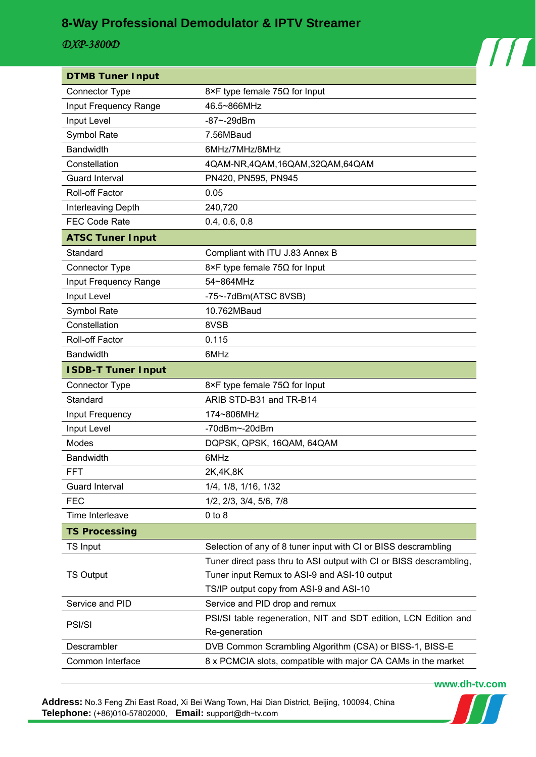# **8-Way Professional Demodulator & IPTV Streamer**

### *DXP-3800D*

| <b>DTMB Tuner Input</b>   |                                                                    |  |  |  |  |
|---------------------------|--------------------------------------------------------------------|--|--|--|--|
| <b>Connector Type</b>     | $8 \times F$ type female 75 $\Omega$ for Input                     |  |  |  |  |
| Input Frequency Range     | 46.5~866MHz                                                        |  |  |  |  |
| Input Level               | $-87 - -29$ dBm                                                    |  |  |  |  |
| Symbol Rate               | 7.56MBaud                                                          |  |  |  |  |
| <b>Bandwidth</b>          | 6MHz/7MHz/8MHz                                                     |  |  |  |  |
| Constellation             | 4QAM-NR,4QAM,16QAM,32QAM,64QAM                                     |  |  |  |  |
| <b>Guard Interval</b>     | PN420, PN595, PN945                                                |  |  |  |  |
| <b>Roll-off Factor</b>    | 0.05                                                               |  |  |  |  |
| Interleaving Depth        | 240,720                                                            |  |  |  |  |
| <b>FEC Code Rate</b>      | 0.4, 0.6, 0.8                                                      |  |  |  |  |
| <b>ATSC Tuner Input</b>   |                                                                    |  |  |  |  |
| Standard                  | Compliant with ITU J.83 Annex B                                    |  |  |  |  |
| <b>Connector Type</b>     | 8×F type female 75 $\Omega$ for Input                              |  |  |  |  |
| Input Frequency Range     | 54~864MHz                                                          |  |  |  |  |
| Input Level               | $-75$ ~ $-7$ dBm(ATSC 8VSB)                                        |  |  |  |  |
| Symbol Rate               | 10.762MBaud                                                        |  |  |  |  |
| Constellation             | 8VSB                                                               |  |  |  |  |
| Roll-off Factor           | 0.115                                                              |  |  |  |  |
| <b>Bandwidth</b>          | 6MHz                                                               |  |  |  |  |
| <b>ISDB-T Tuner Input</b> |                                                                    |  |  |  |  |
| <b>Connector Type</b>     | 8×F type female $75\Omega$ for Input                               |  |  |  |  |
| Standard                  | ARIB STD-B31 and TR-B14                                            |  |  |  |  |
| Input Frequency           | 174~806MHz                                                         |  |  |  |  |
| Input Level               | $-70$ dBm $\sim$ -20dBm                                            |  |  |  |  |
| Modes                     | DQPSK, QPSK, 16QAM, 64QAM                                          |  |  |  |  |
| Bandwidth                 | 6MHz                                                               |  |  |  |  |
| <b>FFT</b>                | 2K,4K,8K                                                           |  |  |  |  |
| Guard Interval            | 1/4, 1/8, 1/16, 1/32                                               |  |  |  |  |
| <b>FEC</b>                | 1/2, 2/3, 3/4, 5/6, 7/8                                            |  |  |  |  |
| Time Interleave           | $0$ to $8$                                                         |  |  |  |  |
| <b>TS Processing</b>      |                                                                    |  |  |  |  |
| <b>TS Input</b>           | Selection of any of 8 tuner input with CI or BISS descrambling     |  |  |  |  |
| <b>TS Output</b>          | Tuner direct pass thru to ASI output with CI or BISS descrambling, |  |  |  |  |
|                           | Tuner input Remux to ASI-9 and ASI-10 output                       |  |  |  |  |
|                           | TS/IP output copy from ASI-9 and ASI-10                            |  |  |  |  |
| Service and PID           | Service and PID drop and remux                                     |  |  |  |  |
| <b>PSI/SI</b>             | PSI/SI table regeneration, NIT and SDT edition, LCN Edition and    |  |  |  |  |
|                           | Re-generation                                                      |  |  |  |  |
| Descrambler               | DVB Common Scrambling Algorithm (CSA) or BISS-1, BISS-E            |  |  |  |  |
| Common Interface          | 8 x PCMCIA slots, compatible with major CA CAMs in the market      |  |  |  |  |

**Address:** No.3 Feng Zhi East Road, Xi Bei Wang Town, Hai Dian District, Beijing, 100094, China **Telephone:** (+86)010-57802000, **Email:** support@dh-tv.com



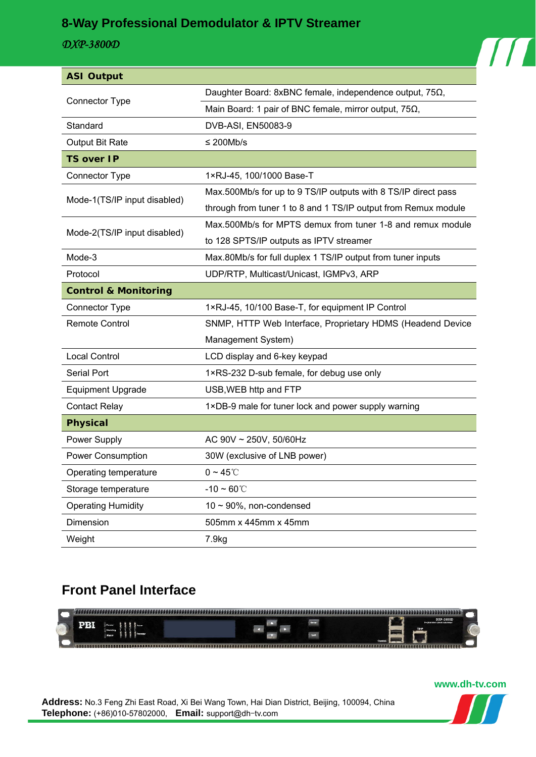## **8-Way Professional Demodulator & IPTV Streamer**

### *DXP-3800D*

| <b>ASI Output</b>               |                                                                 |  |  |  |  |  |
|---------------------------------|-----------------------------------------------------------------|--|--|--|--|--|
| Connector Type                  | Daughter Board: 8xBNC female, independence output, $75\Omega$ , |  |  |  |  |  |
|                                 | Main Board: 1 pair of BNC female, mirror output, $75\Omega$ ,   |  |  |  |  |  |
| Standard                        | DVB-ASI, EN50083-9                                              |  |  |  |  |  |
| Output Bit Rate                 | $\leq$ 200Mb/s                                                  |  |  |  |  |  |
| <b>TS over IP</b>               |                                                                 |  |  |  |  |  |
| Connector Type                  | 1×RJ-45, 100/1000 Base-T                                        |  |  |  |  |  |
| Mode-1(TS/IP input disabled)    | Max.500Mb/s for up to 9 TS/IP outputs with 8 TS/IP direct pass  |  |  |  |  |  |
|                                 | through from tuner 1 to 8 and 1 TS/IP output from Remux module  |  |  |  |  |  |
| Mode-2(TS/IP input disabled)    | Max.500Mb/s for MPTS demux from tuner 1-8 and remux module      |  |  |  |  |  |
|                                 | to 128 SPTS/IP outputs as IPTV streamer                         |  |  |  |  |  |
| Mode-3                          | Max.80Mb/s for full duplex 1 TS/IP output from tuner inputs     |  |  |  |  |  |
| Protocol                        | UDP/RTP, Multicast/Unicast, IGMPv3, ARP                         |  |  |  |  |  |
| <b>Control &amp; Monitoring</b> |                                                                 |  |  |  |  |  |
| <b>Connector Type</b>           | 1×RJ-45, 10/100 Base-T, for equipment IP Control                |  |  |  |  |  |
| <b>Remote Control</b>           | SNMP, HTTP Web Interface, Proprietary HDMS (Headend Device      |  |  |  |  |  |
|                                 | Management System)                                              |  |  |  |  |  |
| <b>Local Control</b>            | LCD display and 6-key keypad                                    |  |  |  |  |  |
| <b>Serial Port</b>              | 1×RS-232 D-sub female, for debug use only                       |  |  |  |  |  |
| <b>Equipment Upgrade</b>        | USB, WEB http and FTP                                           |  |  |  |  |  |
| <b>Contact Relay</b>            | 1×DB-9 male for tuner lock and power supply warning             |  |  |  |  |  |
| <b>Physical</b>                 |                                                                 |  |  |  |  |  |
| Power Supply                    | AC 90V ~ 250V, 50/60Hz                                          |  |  |  |  |  |
| <b>Power Consumption</b>        | 30W (exclusive of LNB power)                                    |  |  |  |  |  |
| Operating temperature           | $0 \sim 45^{\circ}$ C                                           |  |  |  |  |  |
| Storage temperature             | $-10 - 60^{\circ}$ C                                            |  |  |  |  |  |
| <b>Operating Humidity</b>       | $10 \sim 90\%$ , non-condensed                                  |  |  |  |  |  |
| Dimension                       | 505mm x 445mm x 45mm                                            |  |  |  |  |  |
| Weight                          | 7.9kg                                                           |  |  |  |  |  |

# **Front Panel Interface**



**Address:** No.3 Feng Zhi East Road, Xi Bei Wang Town, Hai Dian District, Beijing, 100094, China **Telephone:** (+86)010-57802000, **Email:** support@dh-tv.com